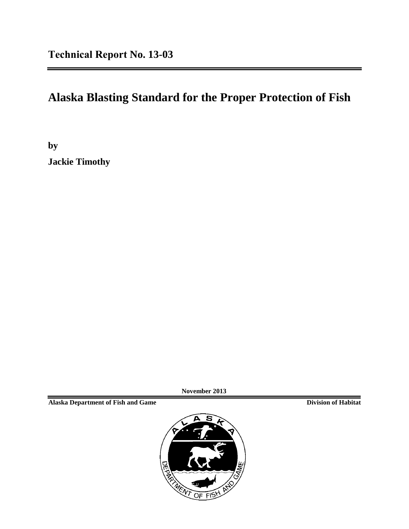# **Alaska Blasting Standard for the Proper Protection of Fish**

**by Jackie Timothy** 

**November 2013**

**Alaska Department of Fish and Game Division of Habitat**

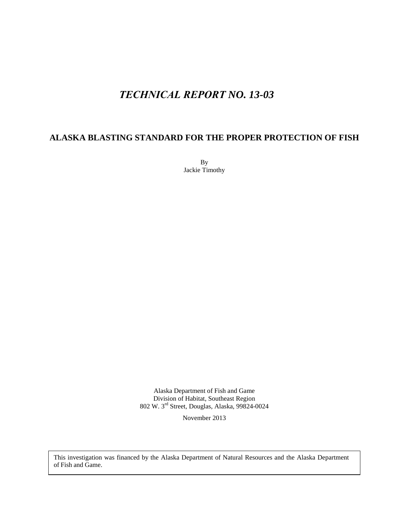## *TECHNICAL REPORT NO. 13-03*

#### **ALASKA BLASTING STANDARD FOR THE PROPER PROTECTION OF FISH**

By Jackie Timothy

Alaska Department of Fish and Game Division of Habitat, Southeast Region 802 W. 3rd Street, Douglas, Alaska, 99824-0024

November 2013

This investigation was financed by the Alaska Department of Natural Resources and the Alaska Department of Fish and Game.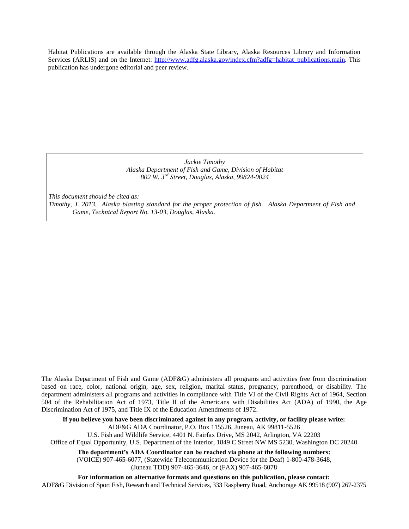Habitat Publications are available through the Alaska State Library, Alaska Resources Library and Information Services (ARLIS) and on the Internet: [http://www.adfg.alaska.gov/index.cfm?adfg=habitat\\_publications.main.](http://www.adfg.alaska.gov/index.cfm?adfg=habitat_publications.main) This publication has undergone editorial and peer review.

> *Jackie Timothy Alaska Department of Fish and Game, Division of Habitat 802 W. 3rd Street, Douglas, Alaska, 99824-0024*

*This document should be cited as:* 

*Timothy, J. 2013. Alaska blasting standard for the proper protection of fish. Alaska Department of Fish and Game, Technical Report No. 13-03, Douglas, Alaska.* 

The Alaska Department of Fish and Game (ADF&G) administers all programs and activities free from discrimination based on race, color, national origin, age, sex, religion, marital status, pregnancy, parenthood, or disability. The department administers all programs and activities in compliance with Title VI of the Civil Rights Act of 1964, Section 504 of the Rehabilitation Act of 1973, Title II of the Americans with Disabilities Act (ADA) of 1990, the Age Discrimination Act of 1975, and Title IX of the Education Amendments of 1972.

**If you believe you have been discriminated against in any program, activity, or facility please write:** ADF&G ADA Coordinator, P.O. Box 115526, Juneau, AK 99811-5526

U.S. Fish and Wildlife Service, 4401 N. Fairfax Drive, MS 2042, Arlington, VA 22203

Office of Equal Opportunity, U.S. Department of the Interior, 1849 C Street NW MS 5230, Washington DC 20240

**The department's ADA Coordinator can be reached via phone at the following numbers:**

(VOICE) 907-465-6077, (Statewide Telecommunication Device for the Deaf) 1-800-478-3648,

(Juneau TDD) 907-465-3646, or (FAX) 907-465-6078

**For information on alternative formats and questions on this publication, please contact:** ADF&G Division of Sport Fish, Research and Technical Services, 333 Raspberry Road, Anchorage AK 99518 (907) 267-2375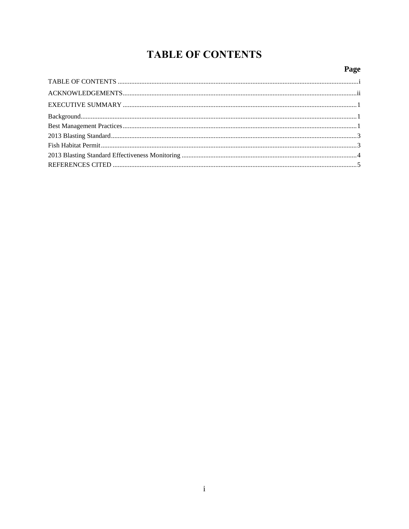# **TABLE OF CONTENTS**

#### Page

<span id="page-4-0"></span>

| ${\bf Background.}.\hspace*{25pt} \textbf{Background}.\hspace*{25pt} \textbf{1}$ |  |
|----------------------------------------------------------------------------------|--|
|                                                                                  |  |
|                                                                                  |  |
|                                                                                  |  |
|                                                                                  |  |
|                                                                                  |  |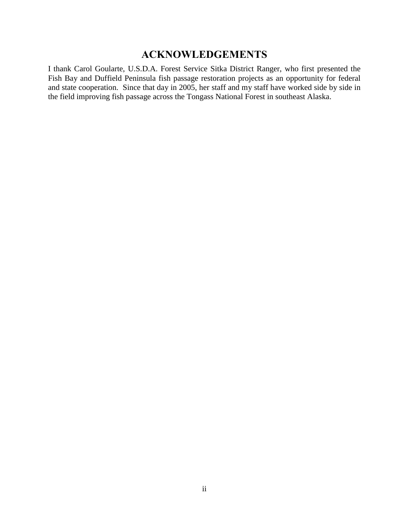## **ACKNOWLEDGEMENTS**

<span id="page-5-0"></span>I thank Carol Goularte, U.S.D.A. Forest Service Sitka District Ranger, who first presented the Fish Bay and Duffield Peninsula fish passage restoration projects as an opportunity for federal and state cooperation. Since that day in 2005, her staff and my staff have worked side by side in the field improving fish passage across the Tongass National Forest in southeast Alaska.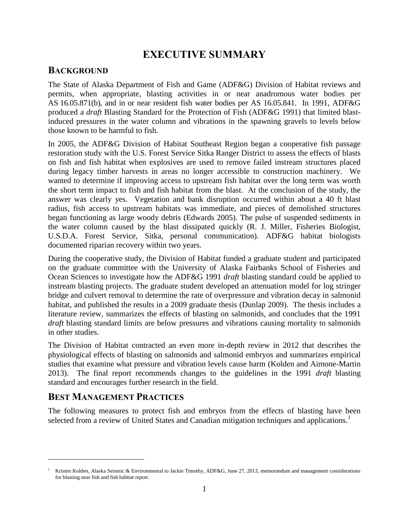## **EXECUTIVE SUMMARY**

#### <span id="page-6-1"></span><span id="page-6-0"></span>**BACKGROUND**

The State of Alaska Department of Fish and Game (ADF&G) Division of Habitat reviews and permits, when appropriate, blasting activities in or near anadromous water bodies per AS 16.05.871(b), and in or near resident fish water bodies per AS 16.05.841. In 1991, ADF&G produced a *draft* Blasting Standard for the Protection of Fish (ADF&G 1991) that limited blastinduced pressures in the water column and vibrations in the spawning gravels to levels below those known to be harmful to fish.

In 2005, the ADF&G Division of Habitat Southeast Region began a cooperative fish passage restoration study with the U.S. Forest Service Sitka Ranger District to assess the effects of blasts on fish and fish habitat when explosives are used to remove failed instream structures placed during legacy timber harvests in areas no longer accessible to construction machinery. We wanted to determine if improving access to upstream fish habitat over the long term was worth the short term impact to fish and fish habitat from the blast. At the conclusion of the study, the answer was clearly yes. Vegetation and bank disruption occurred within about a 40 ft blast radius, fish access to upstream habitats was immediate, and pieces of demolished structures began functioning as large woody debris (Edwards 2005). The pulse of suspended sediments in the water column caused by the blast dissipated quickly (R. J. Miller, Fisheries Biologist, U.S.D.A. Forest Service, Sitka, personal communication). ADF&G habitat biologists documented riparian recovery within two years.

During the cooperative study, the Division of Habitat funded a graduate student and participated on the graduate committee with the University of Alaska Fairbanks School of Fisheries and Ocean Sciences to investigate how the ADF&G 1991 *draft* blasting standard could be applied to instream blasting projects. The graduate student developed an attenuation model for log stringer bridge and culvert removal to determine the rate of overpressure and vibration decay in salmonid habitat, and published the results in a 2009 graduate thesis (Dunlap 2009). The thesis includes a literature review, summarizes the effects of blasting on salmonids, and concludes that the 1991 *draft* blasting standard limits are below pressures and vibrations causing mortality to salmonids in other studies.

The Division of Habitat contracted an even more in-depth review in 2012 that describes the physiological effects of blasting on salmonids and salmonid embryos and summarizes empirical studies that examine what pressure and vibration levels cause harm (Kolden and Aimone-Martin 2013). The final report recommends changes to the guidelines in the 1991 *draft* blasting standard and encourages further research in the field.

#### <span id="page-6-2"></span>**BEST MANAGEMENT PRACTICES**

The following measures to protect fish and embryos from the effects of blasting have been selected from a review of United States and Canadian mitigation techniques and applications.<sup>1</sup>

<sup>1</sup> Kristen Kolden, Alaska Seismic & Environmental to Jackie Timothy, ADF&G, June 27, 2013, memorandum and management considerations for blasting near fish and fish habitat report.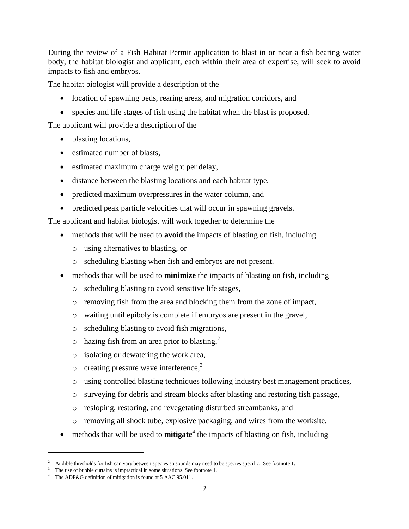During the review of a Fish Habitat Permit application to blast in or near a fish bearing water body, the habitat biologist and applicant, each within their area of expertise, will seek to avoid impacts to fish and embryos.

The habitat biologist will provide a description of the

- location of spawning beds, rearing areas, and migration corridors, and
- species and life stages of fish using the habitat when the blast is proposed.

The applicant will provide a description of the

- blasting locations,
- estimated number of blasts,
- estimated maximum charge weight per delay,
- distance between the blasting locations and each habitat type,
- predicted maximum overpressures in the water column, and
- predicted peak particle velocities that will occur in spawning gravels.

The applicant and habitat biologist will work together to determine the

- methods that will be used to **avoid** the impacts of blasting on fish, including
	- o using alternatives to blasting, or
	- o scheduling blasting when fish and embryos are not present.
- methods that will be used to **minimize** the impacts of blasting on fish, including
	- o scheduling blasting to avoid sensitive life stages,
	- o removing fish from the area and blocking them from the zone of impact,
	- o waiting until epiboly is complete if embryos are present in the gravel,
	- o scheduling blasting to avoid fish migrations,
	- $\circ$  hazing fish from an area prior to blasting,<sup>2</sup>
	- o isolating or dewatering the work area,
	- $\circ$  creating pressure wave interference,<sup>3</sup>
	- o using controlled blasting techniques following industry best management practices,
	- o surveying for debris and stream blocks after blasting and restoring fish passage,
	- o resloping, restoring, and revegetating disturbed streambanks, and
	- o removing all shock tube, explosive packaging, and wires from the worksite.
- methods that will be used to **mitigate**<sup>4</sup> the impacts of blasting on fish, including

 $\overline{a}$ 

<sup>2</sup> Audible thresholds for fish can vary between species so sounds may need to be species specific. See footnote 1.

The use of bubble curtains is impractical in some situations. See footnote 1.

The ADF&G definition of mitigation is found at 5 AAC 95.011.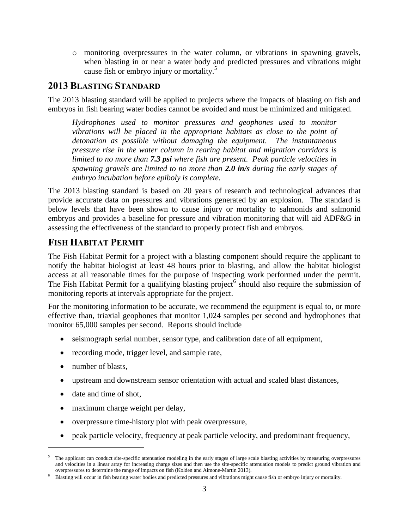o monitoring overpressures in the water column, or vibrations in spawning gravels, when blasting in or near a water body and predicted pressures and vibrations might cause fish or embryo injury or mortality.<sup>5</sup>

#### <span id="page-8-0"></span>**2013 BLASTING STANDARD**

The 2013 blasting standard will be applied to projects where the impacts of blasting on fish and embryos in fish bearing water bodies cannot be avoided and must be minimized and mitigated.

*Hydrophones used to monitor pressures and geophones used to monitor vibrations will be placed in the appropriate habitats as close to the point of detonation as possible without damaging the equipment. The instantaneous pressure rise in the water column in rearing habitat and migration corridors is limited to no more than 7.3 psi where fish are present. Peak particle velocities in spawning gravels are limited to no more than 2.0 in/s during the early stages of embryo incubation before epiboly is complete.*

The 2013 blasting standard is based on 20 years of research and technological advances that provide accurate data on pressures and vibrations generated by an explosion. The standard is below levels that have been shown to cause injury or mortality to salmonids and salmonid embryos and provides a baseline for pressure and vibration monitoring that will aid ADF&G in assessing the effectiveness of the standard to properly protect fish and embryos.

## <span id="page-8-1"></span>**FISH HABITAT PERMIT**

The Fish Habitat Permit for a project with a blasting component should require the applicant to notify the habitat biologist at least 48 hours prior to blasting, and allow the habitat biologist access at all reasonable times for the purpose of inspecting work performed under the permit. The Fish Habitat Permit for a qualifying blasting project<sup>6</sup> should also require the submission of monitoring reports at intervals appropriate for the project.

For the monitoring information to be accurate, we recommend the equipment is equal to, or more effective than, triaxial geophones that monitor 1,024 samples per second and hydrophones that monitor 65,000 samples per second. Reports should include

- seismograph serial number, sensor type, and calibration date of all equipment,
- recording mode, trigger level, and sample rate,
- number of blasts,

 $\overline{a}$ 

- upstream and downstream sensor orientation with actual and scaled blast distances,
- date and time of shot.
- maximum charge weight per delay,
- overpressure time-history plot with peak overpressure,
- peak particle velocity, frequency at peak particle velocity, and predominant frequency,

<sup>5</sup> The applicant can conduct site-specific attenuation modeling in the early stages of large scale blasting activities by measuring overpressures and velocities in a linear array for increasing charge sizes and then use the site-specific attenuation models to predict ground vibration and overpressures to determine the range of impacts on fish (Kolden and Aimone-Martin 2013).

<sup>6</sup> Blasting will occur in fish bearing water bodies and predicted pressures and vibrations might cause fish or embryo injury or mortality.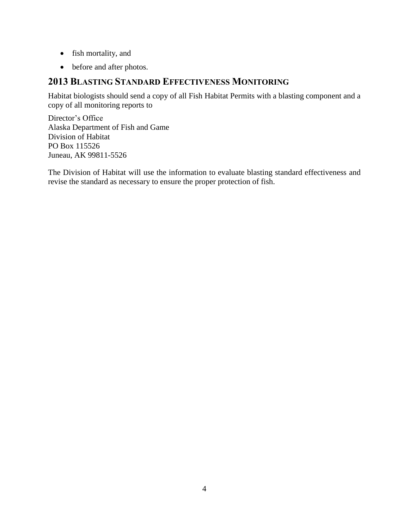- fish mortality, and
- before and after photos.

## <span id="page-9-0"></span>**2013 BLASTING STANDARD EFFECTIVENESS MONITORING**

Habitat biologists should send a copy of all Fish Habitat Permits with a blasting component and a copy of all monitoring reports to

Director's Office Alaska Department of Fish and Game Division of Habitat PO Box 115526 Juneau, AK 99811-5526

The Division of Habitat will use the information to evaluate blasting standard effectiveness and revise the standard as necessary to ensure the proper protection of fish.